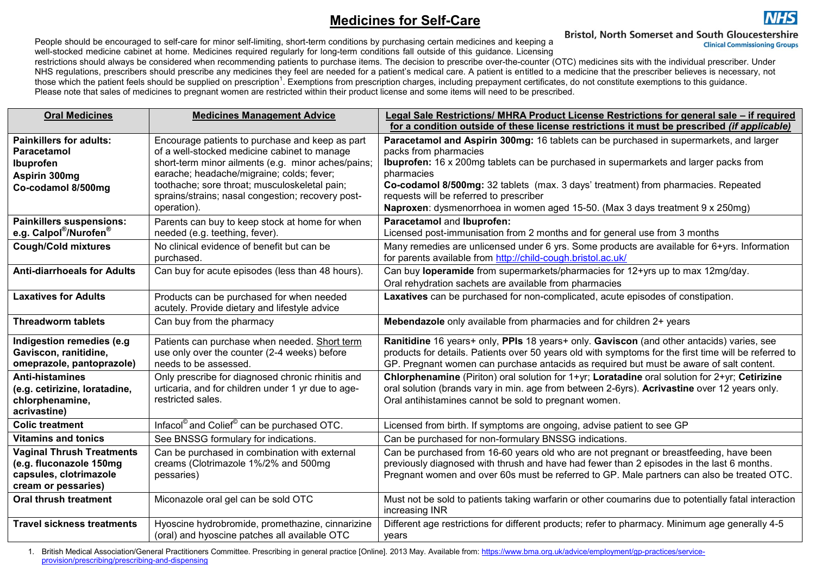## **Medicines for Self-Care**



**NHS** 

People should be encouraged to self-care for minor self-limiting, short-term conditions by purchasing certain medicines and keeping a well-stocked medicine cabinet at home. Medicines required regularly for long-term conditions fall outside of this guidance. Licensing

restrictions should always be considered when recommending patients to purchase items. The decision to prescribe over-the-counter (OTC) medicines sits with the individual prescriber. Under NHS regulations, prescribers should prescribe any medicines they feel are needed for a patient's medical care. A patient is entitled to a medicine that the prescriber believes is necessary, not those which the patient feels should be supplied on prescription<sup>1</sup>. Exemptions from prescription charges, including prepayment certificates, do not constitute exemptions to this guidance. Please note that sales of medicines to pregnant women are restricted within their product license and some items will need to be prescribed.

| <b>Oral Medicines</b>                                                                                        | <b>Medicines Management Advice</b>                                                                                                                                                                                                                                                                                      | Legal Sale Restrictions/ MHRA Product License Restrictions for general sale – if required<br>for a condition outside of these license restrictions it must be prescribed (if applicable)                                                                                                                                                                                                                                                      |
|--------------------------------------------------------------------------------------------------------------|-------------------------------------------------------------------------------------------------------------------------------------------------------------------------------------------------------------------------------------------------------------------------------------------------------------------------|-----------------------------------------------------------------------------------------------------------------------------------------------------------------------------------------------------------------------------------------------------------------------------------------------------------------------------------------------------------------------------------------------------------------------------------------------|
| <b>Painkillers for adults:</b><br><b>Paracetamol</b><br>Ibuprofen<br>Aspirin 300mg<br>Co-codamol 8/500mg     | Encourage patients to purchase and keep as part<br>of a well-stocked medicine cabinet to manage<br>short-term minor ailments (e.g. minor aches/pains;<br>earache; headache/migraine; colds; fever;<br>toothache; sore throat; musculoskeletal pain;<br>sprains/strains; nasal congestion; recovery post-<br>operation). | Paracetamol and Aspirin 300mg: 16 tablets can be purchased in supermarkets, and larger<br>packs from pharmacies<br><b>Ibuprofen:</b> 16 x 200mg tablets can be purchased in supermarkets and larger packs from<br>pharmacies<br>Co-codamol 8/500mg: 32 tablets (max. 3 days' treatment) from pharmacies. Repeated<br>requests will be referred to prescriber<br>Naproxen: dysmenorrhoea in women aged 15-50. (Max 3 days treatment 9 x 250mg) |
| <b>Painkillers suspensions:</b><br>e.g. Calpol®/Nurofen®                                                     | Parents can buy to keep stock at home for when<br>needed (e.g. teething, fever).                                                                                                                                                                                                                                        | Paracetamol and Ibuprofen:<br>Licensed post-immunisation from 2 months and for general use from 3 months                                                                                                                                                                                                                                                                                                                                      |
| <b>Cough/Cold mixtures</b>                                                                                   | No clinical evidence of benefit but can be<br>purchased.                                                                                                                                                                                                                                                                | Many remedies are unlicensed under 6 yrs. Some products are available for 6+yrs. Information<br>for parents available from http://child-cough.bristol.ac.uk/                                                                                                                                                                                                                                                                                  |
| <b>Anti-diarrhoeals for Adults</b>                                                                           | Can buy for acute episodes (less than 48 hours).                                                                                                                                                                                                                                                                        | Can buy loperamide from supermarkets/pharmacies for 12+yrs up to max 12mg/day.<br>Oral rehydration sachets are available from pharmacies                                                                                                                                                                                                                                                                                                      |
| <b>Laxatives for Adults</b>                                                                                  | Products can be purchased for when needed<br>acutely. Provide dietary and lifestyle advice                                                                                                                                                                                                                              | Laxatives can be purchased for non-complicated, acute episodes of constipation.                                                                                                                                                                                                                                                                                                                                                               |
| <b>Threadworm tablets</b>                                                                                    | Can buy from the pharmacy                                                                                                                                                                                                                                                                                               | Mebendazole only available from pharmacies and for children 2+ years                                                                                                                                                                                                                                                                                                                                                                          |
| Indigestion remedies (e.g<br>Gaviscon, ranitidine,<br>omeprazole, pantoprazole)                              | Patients can purchase when needed. Short term<br>use only over the counter (2-4 weeks) before<br>needs to be assessed.                                                                                                                                                                                                  | Ranitidine 16 years+ only, PPIs 18 years+ only. Gaviscon (and other antacids) varies, see<br>products for details. Patients over 50 years old with symptoms for the first time will be referred to<br>GP. Pregnant women can purchase antacids as required but must be aware of salt content.                                                                                                                                                 |
| <b>Anti-histamines</b><br>(e.g. cetirizine, loratadine,<br>chlorphenamine,<br>acrivastine)                   | Only prescribe for diagnosed chronic rhinitis and<br>urticaria, and for children under 1 yr due to age-<br>restricted sales.                                                                                                                                                                                            | Chlorphenamine (Piriton) oral solution for 1+yr; Loratadine oral solution for 2+yr; Cetirizine<br>oral solution (brands vary in min. age from between 2-6yrs). Acrivastine over 12 years only.<br>Oral antihistamines cannot be sold to pregnant women.                                                                                                                                                                                       |
| <b>Colic treatment</b>                                                                                       | Infacol <sup>®</sup> and Colief <sup>®</sup> can be purchased OTC.                                                                                                                                                                                                                                                      | Licensed from birth. If symptoms are ongoing, advise patient to see GP                                                                                                                                                                                                                                                                                                                                                                        |
| <b>Vitamins and tonics</b>                                                                                   | See BNSSG formulary for indications.                                                                                                                                                                                                                                                                                    | Can be purchased for non-formulary BNSSG indications.                                                                                                                                                                                                                                                                                                                                                                                         |
| <b>Vaginal Thrush Treatments</b><br>(e.g. fluconazole 150mg<br>capsules, clotrimazole<br>cream or pessaries) | Can be purchased in combination with external<br>creams (Clotrimazole 1%/2% and 500mg<br>pessaries)                                                                                                                                                                                                                     | Can be purchased from 16-60 years old who are not pregnant or breastfeeding, have been<br>previously diagnosed with thrush and have had fewer than 2 episodes in the last 6 months.<br>Pregnant women and over 60s must be referred to GP. Male partners can also be treated OTC.                                                                                                                                                             |
| Oral thrush treatment                                                                                        | Miconazole oral gel can be sold OTC                                                                                                                                                                                                                                                                                     | Must not be sold to patients taking warfarin or other coumarins due to potentially fatal interaction<br>increasing INR                                                                                                                                                                                                                                                                                                                        |
| <b>Travel sickness treatments</b>                                                                            | Hyoscine hydrobromide, promethazine, cinnarizine<br>(oral) and hyoscine patches all available OTC                                                                                                                                                                                                                       | Different age restrictions for different products; refer to pharmacy. Minimum age generally 4-5<br>years                                                                                                                                                                                                                                                                                                                                      |

1. British Medical Association/General Practitioners Committee. Prescribing in general practice [Online]. 2013 May. Available from[: https://www.bma.org.uk/advice/employment/gp-practices/service](https://www.bma.org.uk/advice/employment/gp-practices/service-provision/prescribing/prescribing-and-dispensing)[provision/prescribing/prescribing-and-dispensing](https://www.bma.org.uk/advice/employment/gp-practices/service-provision/prescribing/prescribing-and-dispensing)